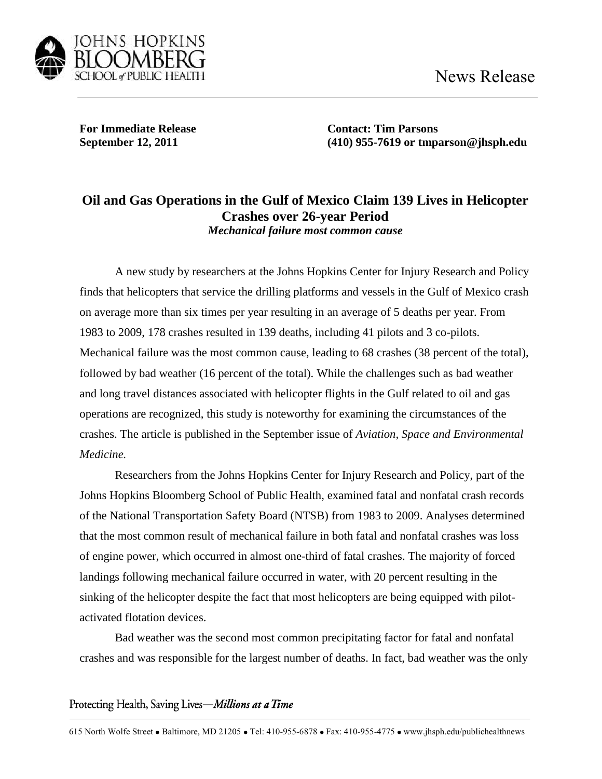

**For Immediate Release Contact: Tim Parsons**

**September 12, 2011 (410) 955-7619 or tmparson@jhsph.edu**

## **Oil and Gas Operations in the Gulf of Mexico Claim 139 Lives in Helicopter Crashes over 26-year Period**  *Mechanical failure most common cause*

A new study by researchers at the Johns Hopkins Center for Injury Research and Policy finds that helicopters that service the drilling platforms and vessels in the Gulf of Mexico crash on average more than six times per year resulting in an average of 5 deaths per year. From 1983 to 2009, 178 crashes resulted in 139 deaths, including 41 pilots and 3 co-pilots. Mechanical failure was the most common cause, leading to 68 crashes (38 percent of the total), followed by bad weather (16 percent of the total). While the challenges such as bad weather and long travel distances associated with helicopter flights in the Gulf related to oil and gas operations are recognized, this study is noteworthy for examining the circumstances of the crashes. The article is published in the September issue of *Aviation, Space and Environmental Medicine.* 

Researchers from the Johns Hopkins Center for Injury Research and Policy, part of the Johns Hopkins Bloomberg School of Public Health, examined fatal and nonfatal crash records of the National Transportation Safety Board (NTSB) from 1983 to 2009. Analyses determined that the most common result of mechanical failure in both fatal and nonfatal crashes was loss of engine power, which occurred in almost one-third of fatal crashes. The majority of forced landings following mechanical failure occurred in water, with 20 percent resulting in the sinking of the helicopter despite the fact that most helicopters are being equipped with pilotactivated flotation devices.

Bad weather was the second most common precipitating factor for fatal and nonfatal crashes and was responsible for the largest number of deaths. In fact, bad weather was the only

Protecting Health, Saving Lives-Millions at a Time

615 North Wolfe Street • Baltimore, MD 21205 • Tel: 410-955-6878 • Fax: 410-955-4775 • www.jhsph.edu/publichealthnews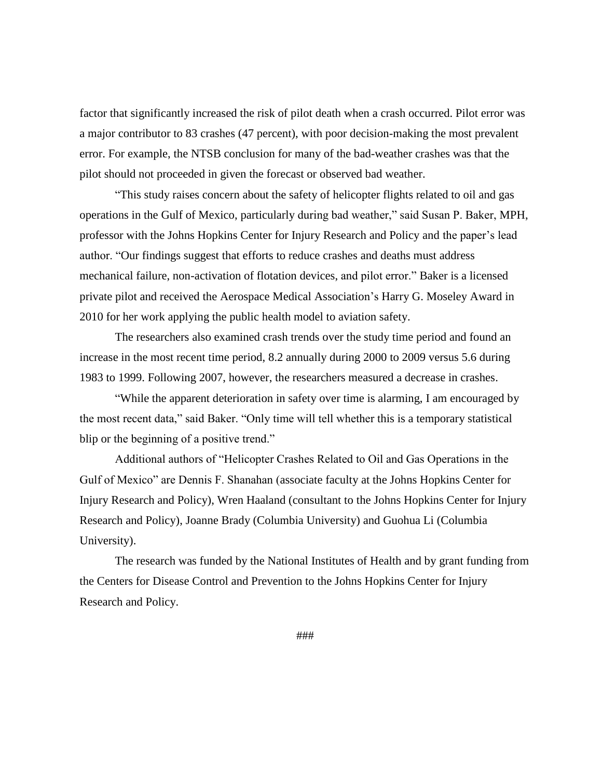factor that significantly increased the risk of pilot death when a crash occurred. Pilot error was a major contributor to 83 crashes (47 percent), with poor decision-making the most prevalent error. For example, the NTSB conclusion for many of the bad-weather crashes was that the pilot should not proceeded in given the forecast or observed bad weather.

"This study raises concern about the safety of helicopter flights related to oil and gas operations in the Gulf of Mexico, particularly during bad weather," said Susan P. Baker, MPH, professor with the Johns Hopkins Center for Injury Research and Policy and the paper's lead author. "Our findings suggest that efforts to reduce crashes and deaths must address mechanical failure, non-activation of flotation devices, and pilot error." Baker is a licensed private pilot and received the Aerospace Medical Association's Harry G. Moseley Award in 2010 for her work applying the public health model to aviation safety.

The researchers also examined crash trends over the study time period and found an increase in the most recent time period, 8.2 annually during 2000 to 2009 versus 5.6 during 1983 to 1999. Following 2007, however, the researchers measured a decrease in crashes.

"While the apparent deterioration in safety over time is alarming, I am encouraged by the most recent data," said Baker. "Only time will tell whether this is a temporary statistical blip or the beginning of a positive trend."

Additional authors of "Helicopter Crashes Related to Oil and Gas Operations in the Gulf of Mexico" are Dennis F. Shanahan (associate faculty at the Johns Hopkins Center for Injury Research and Policy), Wren Haaland (consultant to the Johns Hopkins Center for Injury Research and Policy), Joanne Brady (Columbia University) and Guohua Li (Columbia University).

The research was funded by the National Institutes of Health and by grant funding from the Centers for Disease Control and Prevention to the Johns Hopkins Center for Injury Research and Policy.